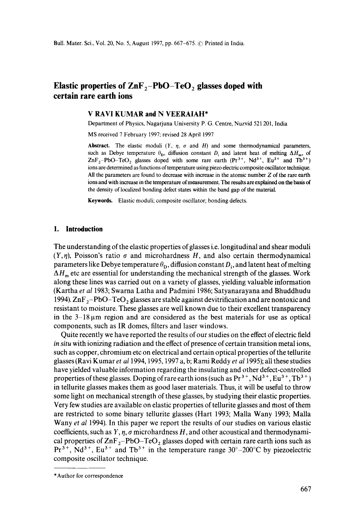# **Elastic properties of ZnF<sub>2</sub>-PbO-TeO<sub>2</sub> glasses doped with certain rare earth ions**

### **V RAVI KUMAR and N VEERAIAH\***

Department of Physics, Nagarjuna University P. G, Centre, Nuzvid 521 201, India

MS received 7 February 1997: revised 28 April 1997

**Abstract.** The elastic moduli  $(Y, \eta, \sigma \text{ and } H)$  and some thermodynamical parameters, such as Debye temperature  $\theta_{\rm D}$ , diffusion constant D<sub>i</sub> and latent heat of melting  $\Delta H_{\rm m}$ , of  $ZnF_2-PbO-TeO$ , glasses doped with some rare earth  $(Pr<sup>3+</sup>, Nd<sup>3+</sup>, Eu<sup>3+</sup>$  and Tb<sup>3+</sup>) ions are determined as functions of temperature using piezo electric composite oscillator technique. All the parameters are found to decrease with increase in the atomic number Z of the rare earth ions and with increase in the temperature of measurement. The results are explained on the basis **of**  the density of localized bonding defect states within the band gap of the material.

**Keywords.** Elastic moduli; composite oscillator; bonding defects.

### **1. Introduction**

The understanding of the elastic properties of glasses i.e. longitudinal and shear moduli  $(Y, \eta)$ , Poisson's ratio  $\sigma$  and microhardness H, and also certain thermodynamical parameters like Debye temperature  $\theta_{\rm D}$ , diffusion constant  $D_i$ , and latent heat of melting  $\Delta H_{\rm m}$  etc are essential for understanding the mechanical strength of the glasses. Work along these lines was carried out on a variety of glasses, yielding valuable information (Kartha *et al* 1983; Swarna Latha and Padmini 1986; Satyanarayana and Bhuddhudu 1994).  $\text{ZnF}_2-\text{PbO}-\text{TeO}_2$  glasses are stable against devitrification and are nontoxic and resistant to moisture. These glasses are well known due to their excellent transparency in the  $3-18 \mu m$  region and are considered as the best materials for use as optical components, such as IR domes, filters and laser windows.

Quite recently we have reported the results of our studies on the effect of electric field *in situ* with ionizing radiation and the effect of presence of certain transition metal ions, such as copper, chromium etc on electrical and certain optical properties of the tellurite glasses (Ravi Kumar *et a11994,* 1995, 1997 a, b; Rami Reddy *et at* 1995); all these studies have yielded valuable information regarding the insulating and other defect-controlled properties of these glasses. Doping of rare earth ions (such as  $Pr^{3+}$ ,  $Nd^{3+}$ ,  $Eu^{3+}$ ,  $Tb^{3+}$ ) in tellurite glasses makes them as good laser materials. Thus, it will be useful to throw some light on mechanical strength of these glasses, by studying their elastic properties. Very few studies are available on elastic properties of tellurite glasses and most of them are restricted to some binary tellurite glasses (Hart 1993; Malla Wany 1993; Malla Wany *et al* 1994). In this paper we report the results of our studies on various elastic coefficients, such as  $Y, \eta, \sigma$  microhardness H, and other acoustical and thermodynamical properties of  $\text{ZnF}_2-\text{PbO}-\text{TeO}_2$  glasses doped with certain rare earth ions such as  $Pr^{3+}$ , Nd<sup>3+</sup>, Eu<sup>3+</sup> and Tb<sup>3+</sup> in the temperature range 30°-200°C by piezoelectric composite oscillator technique.

<sup>\*</sup>Author for correspondence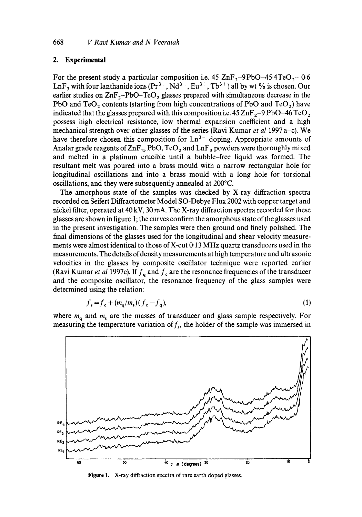# **2. Experimental**

For the present study a particular composition i.e. 45  $\text{ZnF}_2$ -9PbO-45·4TeO<sub>2</sub>-0-6 LnF<sub>3</sub> with four lanthanide ions ( $Pr^{3+}$ ,  $Nd^{3+}$ ,  $Eu^{3+}$ ,  $Tb^{3+}$ ) all by wt % is chosen. Our earlier studies on  $\text{ZnF}_2-\text{PbO}-\text{TeO}_2$  glasses prepared with simultaneous decrease in the PbO and  $TeO<sub>2</sub>$  contents (starting from high concentrations of PbO and  $TeO<sub>2</sub>$ ) have indicated that the glasses prepared with this composition i.e.  $45 \text{ ZnF}_{2}$ -9 PbO-46 TeO<sub>2</sub> possess high electrical resistance, low thermal expansion coefficient and a high mechanical strength over other glasses of the series (Ravi Kumar *et al* 1997 a-c). We have therefore chosen this composition for  $Ln^{3+}$  doping. Appropriate amounts of Analar grade reagents of  $\text{ZnF}_2$ , PbO, TeO<sub>2</sub> and  $\text{LnF}_3$  powders were thoroughly mixed and melted in a platinum crucible until a bubble-free liquid was formed. The resultant melt was poured into a brass mould with a narrow rectangular hole for longitudinal oscillations and into a brass mould with a long hole for torsional oscillations, and they were subsequently annealed at 200°C.

The amorphous state of the samples was checked by X-ray diffraction spectra recorded on Seifert Diffractometer Model SO-Debye Flux 2002 with copper target and nickel filter, operated at 40 kV, 30 mA. The X-ray diffraction spectra recorded for these glasses are shown in figure 1; the curves confirm the amorphous state of the glasses used in the present investigation. The samples were then ground and finely polished. The final dimensions of the glasses used for the longitudinal and shear velocity measurements were almost identical to those of X-cut  $0.13$  MHz quartz transducers used in the measurements. The details of density measurements at high temperature and ultrasonic velocities in the glasses by composite oscillator technique were reported earlier (Ravi Kumar *et al 1997c)*. If  $f_a$  and  $f_c$  are the resonance frequencies of the transducer and the composite oscillator, the resonance frequency of the glass samples were determined using the relation:

$$
f_s = f_c + (m_q/m_s)(f_c - f_q),\tag{1}
$$

where  $m_a$  and  $m_s$  are the masses of transducer and glass sample respectively. For measuring the temperature variation of  $f_s$ , the holder of the sample was immersed in



Figure 1. X-ray diffraction spectra of rare earth doped glasses,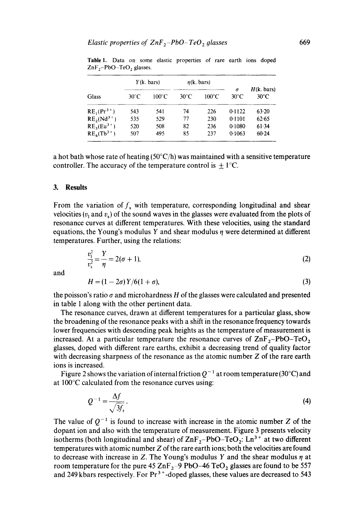| Glass           | $Y(k \cdot bars)$ |       | $\eta$ (k. bars) |                 |                            |                              |
|-----------------|-------------------|-------|------------------|-----------------|----------------------------|------------------------------|
|                 | $30^{\circ}$ C    | 100°C | $30^{\circ}$ C   | $100^{\circ}$ C | $\sigma$<br>$30^{\circ}$ C | H(k. bars)<br>$30^{\circ}$ C |
| $RE_1(Pr^{3+})$ | 543               | 541   | 74               | 226             | 0.1122                     | 63.20                        |
| $RE_2(Nd^{3+})$ | 535               | 529   | 77               | 230             | 0.1101                     | 62.65                        |
| $RE_3(Eu^{3+})$ | 520               | 508   | 82               | 236             | 0.1080                     | 61.34                        |
| $RE_4(Tb^{3+})$ | 507               | 495   | 85               | 237             | 0.1063                     | 60.24                        |

**Table 1. Data** on some elastic properties of rare earth ions doped  $ZnF_2-PbO-TeO_2$  glasses.

a hot bath whose rate of heating  $(50^{\circ}C/h)$  was maintained with a sensitive temperature controller. The accuracy of the temperature control is  $\pm 1$ °C.

### **3. Results**

From the variation of  $f<sub>s</sub>$  with temperature, corresponding longitudinal and shear velocities ( $v_1$  and  $v_2$ ) of the sound waves in the glasses were evaluated from the plots of resonance curves at different temperatures. With these velocities, using the standard equations, the Young's modulus Y and shear modulus  $\eta$  were determined at different temperatures. Further, using the relations:

$$
\frac{v_1^2}{v_s^2} = \frac{Y}{\eta} = 2(\sigma + 1).
$$
 (2)

and

$$
H = (1 - 2\sigma)Y/6(1 + \sigma),\tag{3}
$$

the poisson's ratio  $\sigma$  and microhardness H of the glasses were calculated and presented in table 1 along with the other pertinent data.

The resonance curves, drawn at different temperatures for a particular glass, show the broadening of the resonance peaks with a shift in the resonance frequency towards lower frequencies with descending peak heights as the temperature of measurement is increased. At a particular temperature the resonance curves of  $\text{ZnF}_2-\text{PbO}-\text{TeO}_2$ glasses, doped with different rare earths, exhibit a decreasing trend of quality factor with decreasing sharpness of the resonance as the atomic number Z of the rare earth ions is increased.

Figure 2 shows the variation of internal friction  $Q^{-1}$  at room temperature (30°C) and at 100°C calculated from the resonance curves using:

$$
Q^{-1} = \frac{\Delta f}{\sqrt{3f_{\rm r}}} \,. \tag{4}
$$

The value of  $Q^{-1}$  is found to increase with increase in the atomic number Z of the dopant ion and also with the temperature of measurement. Figure 3 presents velocity isotherms (both longitudinal and shear) of  $\text{ZnF}_2-\text{PbO}-\text{TeO}_2$ : Ln<sup>3+</sup> at two different temperatures with atomic number Z of the rare earth ions; both the velocities are found to decrease with increase in Z. The Young's modulus Y and the shear modulus  $\eta$  at room temperature for the pure 45 ZnF<sub>2</sub>-9 PbO-46 TeO<sub>2</sub> glasses are found to be 557 and 249 kbars respectively. For  $Pr^{3+}$ -doped glasses, these values are decreased to 543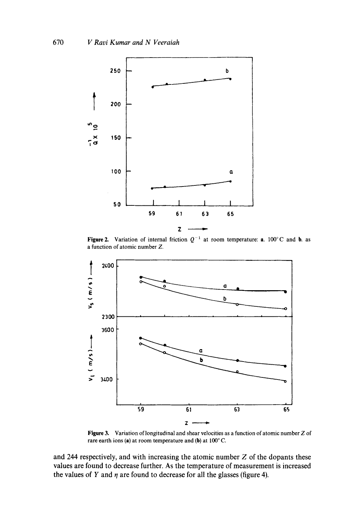

Figure 2. Variation of internal friction  $Q^{-1}$  at room temperature: a. 100°C and b. as a function of atomic number Z.



**Figure** 3. Variation of longitudinal and shear velocities as a function of atomic number Z of rare earth ions (a) at room temperature and (b) at  $100^{\circ}$  C.

and 244 respectively, and with increasing the atomic number Z of the dopants these values are found to decrease further. As the temperature of measurement is increased the values of Y and  $\eta$  are found to decrease for all the glasses (figure 4).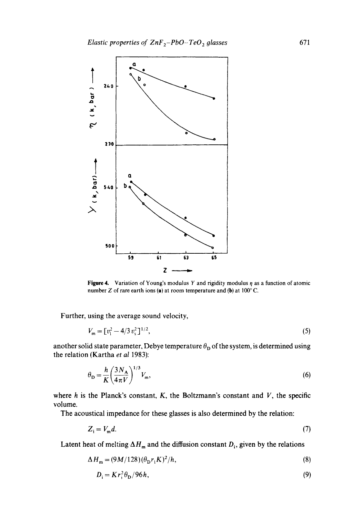

**Figure 4.** Variation of Young's modulus Y and rigidity modulus  $\eta$  as a function of atomic number Z of rare earth ions (a) at room temperature and (b) at  $100^{\circ}$  C.

Further, using the average sound velocity,

$$
V_{\mathbf{m}} = [v_1^2 - 4/3 v_s^2]^{1/2},\tag{5}
$$

another solid state parameter, Debye temperature  $\theta_{\rm D}$  of the system, is determined using the relation (Kartha *et al* 1983):

$$
\theta_{\rm D} = \frac{h}{K} \left(\frac{3N_{\rm A}}{4\pi V}\right)^{1/3} V_{\rm m},\tag{6}
$$

where  $h$  is the Planck's constant,  $K$ , the Boltzmann's constant and  $V$ , the specific volume.

The acoustical impedance for these glasses is also determined by the relation:

$$
Z_i = V_m d. \tag{7}
$$

Latent heat of melting  $\Delta H_m$  and the diffusion constant  $D_i$ , given by the relations

$$
\Delta H_{\mathbf{m}} = (9M/128)(\theta_{\mathbf{D}}r_{\mathbf{i}}K)^2/h,\tag{8}
$$

$$
D_{\mathbf{i}} = K r_{\mathbf{i}}^2 \theta_{\mathbf{D}} / 96h,\tag{9}
$$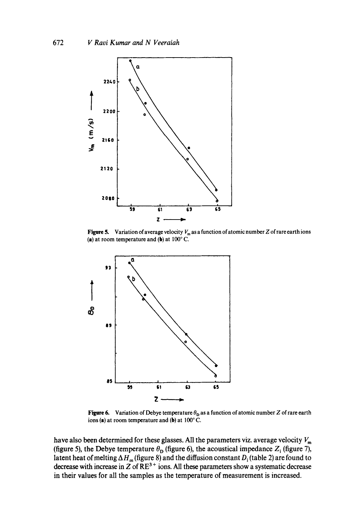

**Figure 5.** Variation of average velocity  $V_m$  as a function of atomic number Z of rare earth ions (a) at room temperature and (b) at  $100^{\circ}$  C.



Figure 6. Variation of Debye temperature  $\theta_{\rm D}$  as a function of atomic number Z of rare earth ions (a) at room temperature and (b) at  $100^{\circ}$  C.

have also been determined for these glasses. All the parameters viz. average velocity  $V_m$ (figure 5), the Debye temperature  $\theta_{\rm D}$  (figure 6), the acoustical impedance  $Z_i$  (figure 7), latent heat of melting  $\Delta H_m$  (figure 8) and the diffusion constant  $D_i$  (table 2) are found to decrease with increase in Z of  $RE<sup>3+</sup>$  ions. All these parameters show a systematic decrease in their values for all the samples as the temperature of measurement is increased.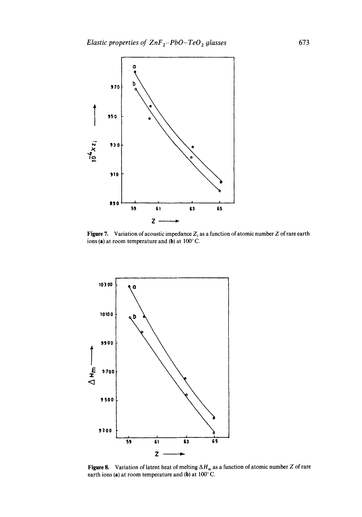

**Figure 7.** Variation of acoustic impedance  $Z_i$  as a function of atomic number Z of rare earth ions (a) at room temperature and (b) at  $100^{\circ}$  C.



**Figure 8.** Variation of latent heat of melting  $\Delta H_m$  as a function of atomic number Z of rare earth ions (a) at room temperature and (b) at  $100^{\circ}$ C.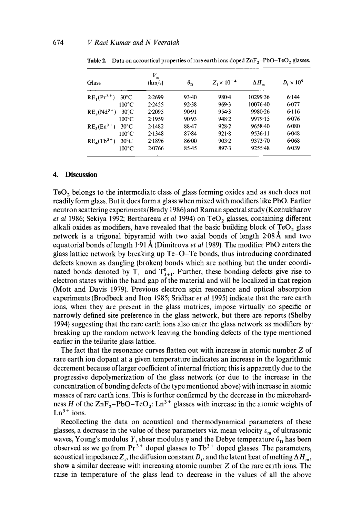| Glass                             | $V_{\rm m}$<br>(km/s) | $\theta_{\rm D}$ | $Z_i \times 10^{-4}$ | $\Delta H_m$ | $D_i \times 10^9$ |
|-----------------------------------|-----------------------|------------------|----------------------|--------------|-------------------|
| $RE_1(Pr^{3+})$<br>$30^{\circ}$ C | 2.2699                | $93-40$          | 980-4                | 10299.36     | 6.144             |
| $100^{\circ}$ C                   | 2.2455                | 92.38            | 969.3                | $10076 - 40$ | 6.077             |
| $RE2(Nd3+)$<br>$30^{\circ}$ C     | 2.2095                | 90.91            | 954.3                | 9980.26      | 6.116             |
| $100^{\circ}$ C                   | 2.1959                | 90.93            | 948.2                | 9979.15      | 6.076             |
| $RE3(Eu3+)$<br>$30^{\circ}$ C     | 2.1482                | $88-47$          | 928.2                | $9658 - 40$  | 6.080             |
| $100^{\circ}$ C                   | 2.1348                | 87.84            | 921.8                | 9536.11      | 6.048             |
| $RE4(Tb3+)$<br>$30^{\circ}$ C     | 2.1896                | 86.00            | 903.2                | 9373.70      | 6.068             |
| $100^{\circ}$ C                   | 2.0766                | $85 - 45$        | 897.3                | 9255.48      | $6-039$           |

**Table 2.** Data on accoustical properties of rare earth ions doped  $\text{ZnF}_2-\text{PbO-TeO}_2$  glasses.

# **4. Discussion**

 $TeO<sub>2</sub>$  belongs to the intermediate class of glass forming oxides and as such does not readily form glass. But it does form a glass when mixed with modifiers like PbO. Earlier neutron scattering experiments (Brady 1986) and Raman spectral study (Kozhukharov *et al 1986*; Sekiya 1992; Berthareau *et al 1994*) on TeO<sub>2</sub> glasses, containing different alkali oxides as modifiers, have revealed that the basic building block of  $TeO<sub>2</sub>$  glass network is a trigonal bipyramid with two axial bonds of length  $2.08\text{ Å}$  and two equatorial bonds of length 1.91 Å (Dimitrova *et al* 1989). The modifier PbO enters the glass lattice network by breaking up Te-O-Te bonds, thus introducing coordinated defects known as dangling (broken) bonds which are nothing but the under coordinated bonds denoted by  $T_2^-$  and  $T_{3+1}^0$ . Further, these bonding defects give rise to electron states within the band gap of the material and will be localized in that region (Mott and Davis 1979). Previous electron spin resonance and optical absorption experiments (Brodbeck and Iton 1985; Sridhar *et al* 1995) indicate that the rare earth ions, when they are present in the glass matrices, impose virtually no specific or narrowly defined site preference in the glass network, but there are reports (Shelby 1994) suggesting that the rare earth ions also enter the glass network as modifiers by breaking up the random network leaving the bonding defects of the type mentioned earlier in the tellurite glass lattice.

The fact that the resonance curves flatten out with increase in atomic number Z of rare earth ion dopant at a given temperature indicates an increase in the logarithmic decrement because of larger coefficient of internal friction; this is apparently due to the progressive depolymerization of the glass network (or due to the increase in the concentration of bonding defects of the type mentioned above) with increase in atomic masses of rare earth ions. This is further confirmed by the decrease in the microhardness H of the  $\text{ZnF}_2-\text{PbO}-\text{TeO}_2$ :  $\text{Ln}^{3+}$  glasses with increase in the atomic weights of  $Ln<sup>3+</sup> ions.$ 

Recollecting the data on acoustical and thermodynamical parameters of these glasses, a decrease in the value of these parameters viz. mean velocity  $v_m$  of ultrasonic waves, Young's modulus Y, shear modulus  $\eta$  and the Debye temperature  $\theta_{\rm D}$  has been observed as we go from  $Pr^{3+}$  doped glasses to  $Tb^{3+}$  doped glasses. The parameters, acoustical impedance  $Z_i$ , the diffusion constant  $D_i$ , and the latent heat of melting  $\Delta H_m$ , show a similar decrease with increasing atomic number Z of the rare earth ions. The raise in temperature of the glass lead to decrease in the values of all the above